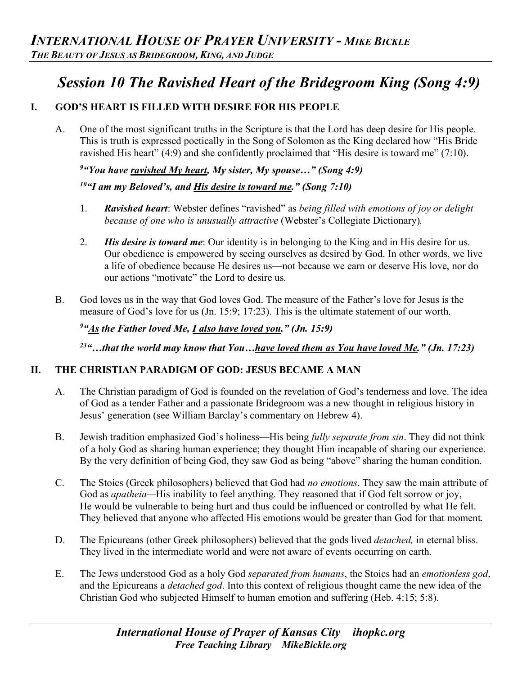# *Session 10 The Ravished Heart of the Bridegroom King (Song 4:9)*

# **I. GOD'S HEART IS FILLED WITH DESIRE FOR HIS PEOPLE**

A. One of the most significant truths in the Scripture is that the Lord has deep desire for His people. This is truth is expressed poetically in the Song of Solomon as the King declared how "His Bride ravished His heart" (4:9) and she confidently proclaimed that "His desire is toward me" (7:10).

# *9 "You have ravished My heart, My sister, My spouse…" (Song 4:9)*

# *10"I am my Beloved's, and His desire is toward me." (Song 7:10)*

- 1. *Ravished heart*: Webster defines "ravished" as *being filled with emotions of joy or delight because of one who is unusually attractive* (Webster's Collegiate Dictionary)*.*
- 2. *His desire is toward me*: Our identity is in belonging to the King and in His desire for us. Our obedience is empowered by seeing ourselves as desired by God. In other words, we live a life of obedience because He desires us—not because we earn or deserve His love, nor do our actions "motivate" the Lord to desire us.
- B. God loves us in the way that God loves God. The measure of the Father's love for Jesus is the measure of God's love for us (Jn. 15:9; 17:23). This is the ultimate statement of our worth.

*9 "As the Father loved Me, I also have loved you." (Jn. 15:9)* 

*23"…that the world may know that You…have loved them as You have loved Me." (Jn. 17:23)* 

## **II. THE CHRISTIAN PARADIGM OF GOD: JESUS BECAME A MAN**

- A. The Christian paradigm of God is founded on the revelation of God's tenderness and love. The idea of God as a tender Father and a passionate Bridegroom was a new thought in religious history in Jesus' generation (see William Barclay's commentary on Hebrew 4).
- B. Jewish tradition emphasized God's holiness—His being *fully separate from sin*. They did not think of a holy God as sharing human experience; they thought Him incapable of sharing our experience. By the very definition of being God, they saw God as being "above" sharing the human condition.
- C. The Stoics (Greek philosophers) believed that God had *no emotions*. They saw the main attribute of God as *apatheia—*His inability to feel anything. They reasoned that if God felt sorrow or joy, He would be vulnerable to being hurt and thus could be influenced or controlled by what He felt. They believed that anyone who affected His emotions would be greater than God for that moment.
- D. The Epicureans (other Greek philosophers) believed that the gods lived *detached,* in eternal bliss. They lived in the intermediate world and were not aware of events occurring on earth.
- E. The Jews understood God as a holy God *separated from humans*, the Stoics had an *emotionless god*, and the Epicureans a *detached god*. Into this context of religious thought came the new idea of the Christian God who subjected Himself to human emotion and suffering (Heb. 4:15; 5:8).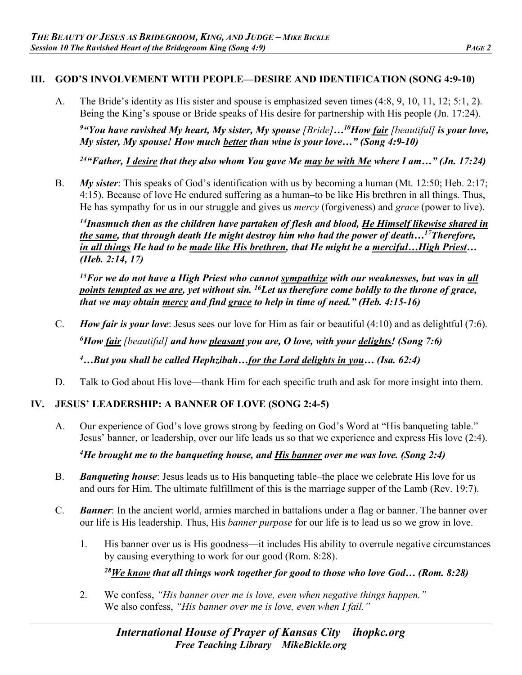### **III. GOD'S INVOLVEMENT WITH PEOPLE—DESIRE AND IDENTIFICATION (SONG 4:9-10)**

A. The Bride's identity as His sister and spouse is emphasized seven times (4:8, 9, 10, 11, 12; 5:1, 2). Being the King's spouse or Bride speaks of His desire for partnership with His people (Jn. 17:24).

<sup>9</sup> "You have ravished My heart, My sister, My spouse [Bride]...<sup>10</sup>How <u>fair</u> [beautiful] is your love, *My sister, My spouse! How much better than wine is your love…" (Song 4:9-10)*

*24"Father, I desire that they also whom You gave Me may be with Me where I am…" (Jn. 17:24)*

B. *My sister*: This speaks of God's identification with us by becoming a human (Mt. 12:50; Heb. 2:17; 4:15). Because of love He endured suffering as a human–to be like His brethren in all things. Thus, He has sympathy for us in our struggle and gives us *mercy* (forgiveness) and *grace* (power to live).

*14Inasmuch then as the children have partaken of flesh and blood, He Himself likewise shared in the same, that through death He might destroy him who had the power of death…17Therefore, in all things He had to be made like His brethren, that He might be a merciful…High Priest… (Heb. 2:14, 17)*

*15For we do not have a High Priest who cannot sympathize with our weaknesses, but was in all points tempted as we are, yet without sin. 16Let us therefore come boldly to the throne of grace, that we may obtain mercy and find grace to help in time of need." (Heb. 4:15-16)* 

C. *How fair is your love*: Jesus sees our love for Him as fair or beautiful (4:10) and as delightful (7:6).

*6 How fair [beautiful] and how pleasant you are, O love, with your delights! (Song 7:6)* 

*4 …But you shall be called Hephzibah…for the Lord delights in you… (Isa. 62:4)*

D. Talk to God about His love—thank Him for each specific truth and ask for more insight into them.

## **IV. JESUS' LEADERSHIP: A BANNER OF LOVE (SONG 2:4-5)**

A. Our experience of God's love grows strong by feeding on God's Word at "His banqueting table." Jesus' banner, or leadership, over our life leads us so that we experience and express His love (2:4).

*4 He brought me to the banqueting house, and His banner over me was love. (Song 2:4)* 

- B. *Banqueting house*: Jesus leads us to His banqueting table–the place we celebrate His love for us and ours for Him. The ultimate fulfillment of this is the marriage supper of the Lamb (Rev. 19:7).
- C. *Banner*: In the ancient world, armies marched in battalions under a flag or banner. The banner over our life is His leadership. Thus, His *banner purpose* for our life is to lead us so we grow in love.
	- 1. His banner over us is His goodness—it includes His ability to overrule negative circumstances by causing everything to work for our good (Rom. 8:28).

*28We know that all things work together for good to those who love God… (Rom. 8:28)* 

2. We confess, *"His banner over me is love, even when negative things happen."* We also confess, *"His banner over me is love, even when I fail."*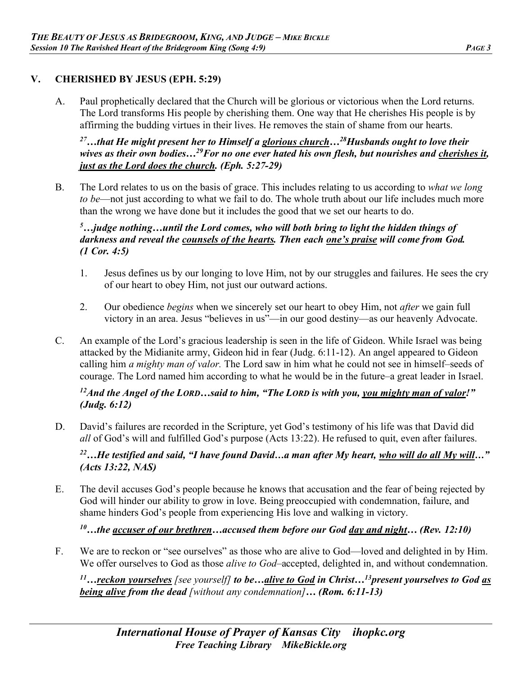### **V. CHERISHED BY JESUS (EPH. 5:29)**

A. Paul prophetically declared that the Church will be glorious or victorious when the Lord returns. The Lord transforms His people by cherishing them. One way that He cherishes His people is by affirming the budding virtues in their lives. He removes the stain of shame from our hearts.

*27…that He might present her to Himself a glorious church…28Husbands ought to love their wives as their own bodies…29For no one ever hated his own flesh, but nourishes and cherishes it, just as the Lord does the church. (Eph. 5:27-29)* 

B. The Lord relates to us on the basis of grace. This includes relating to us according to *what we long to be*—not just according to what we fail to do. The whole truth about our life includes much more than the wrong we have done but it includes the good that we set our hearts to do.

#### *5 …judge nothing…until the Lord comes, who will both bring to light the hidden things of darkness and reveal the counsels of the hearts. Then each one's praise will come from God. (1 Cor. 4:5)*

- 1. Jesus defines us by our longing to love Him, not by our struggles and failures. He sees the cry of our heart to obey Him, not just our outward actions.
- 2. Our obedience *begins* when we sincerely set our heart to obey Him, not *after* we gain full victory in an area. Jesus "believes in us"—in our good destiny—as our heavenly Advocate.
- C. An example of the Lord's gracious leadership is seen in the life of Gideon. While Israel was being attacked by the Midianite army, Gideon hid in fear (Judg. 6:11-12). An angel appeared to Gideon calling him *a mighty man of valor.* The Lord saw in him what he could not see in himself–seeds of courage. The Lord named him according to what he would be in the future–a great leader in Israel.

#### *12And the Angel of the LORD…said to him, "The LORD is with you, you mighty man of valor!" (Judg. 6:12)*

D. David's failures are recorded in the Scripture, yet God's testimony of his life was that David did *all* of God's will and fulfilled God's purpose (Acts 13:22). He refused to quit, even after failures.

*22…He testified and said, "I have found David…a man after My heart, who will do all My will…" (Acts 13:22, NAS)*

E. The devil accuses God's people because he knows that accusation and the fear of being rejected by God will hinder our ability to grow in love. Being preoccupied with condemnation, failure, and shame hinders God's people from experiencing His love and walking in victory.

*10…the accuser of our brethren…accused them before our God day and night… (Rev. 12:10)*

F. We are to reckon or "see ourselves" as those who are alive to God—loved and delighted in by Him. We offer ourselves to God as those *alive to God*–accepted, delighted in, and without condemnation.

*11…reckon yourselves [see yourself] to be…alive to God in Christ…13present yourselves to God as being alive from the dead [without any condemnation]… (Rom. 6:11-13)*